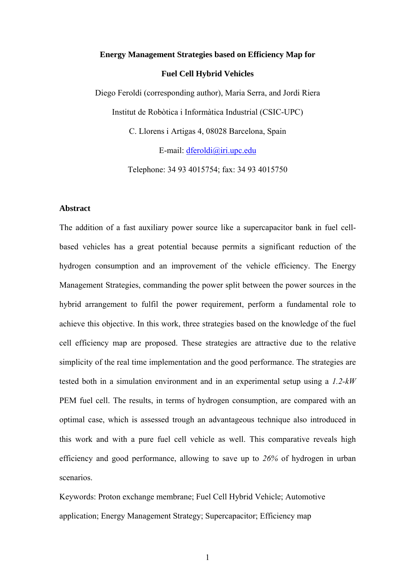# **Energy Management Strategies based on Efficiency Map for Fuel Cell Hybrid Vehicles**

Diego Feroldi (corresponding author), Maria Serra, and Jordi Riera Institut de Robòtica i Informàtica Industrial (CSIC-UPC) C. Llorens i Artigas 4, 08028 Barcelona, Spain

E-mail: dferoldi@iri.upc.edu

Telephone: 34 93 4015754; fax: 34 93 4015750

# **Abstract**

The addition of a fast auxiliary power source like a supercapacitor bank in fuel cellbased vehicles has a great potential because permits a significant reduction of the hydrogen consumption and an improvement of the vehicle efficiency. The Energy Management Strategies, commanding the power split between the power sources in the hybrid arrangement to fulfil the power requirement, perform a fundamental role to achieve this objective. In this work, three strategies based on the knowledge of the fuel cell efficiency map are proposed. These strategies are attractive due to the relative simplicity of the real time implementation and the good performance. The strategies are tested both in a simulation environment and in an experimental setup using a *1.2-kW* PEM fuel cell. The results, in terms of hydrogen consumption, are compared with an optimal case, which is assessed trough an advantageous technique also introduced in this work and with a pure fuel cell vehicle as well. This comparative reveals high efficiency and good performance, allowing to save up to *26%* of hydrogen in urban scenarios.

Keywords: Proton exchange membrane; Fuel Cell Hybrid Vehicle; Automotive application; Energy Management Strategy; Supercapacitor; Efficiency map

1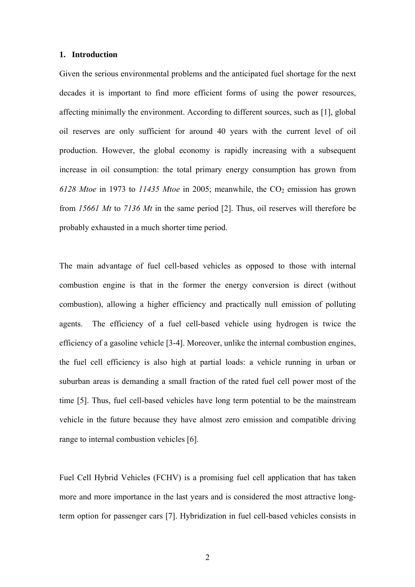#### **1. Introduction**

Given the serious environmental problems and the anticipated fuel shortage for the next decades it is important to find more efficient forms of using the power resources, affecting minimally the environment. According to different sources, such as [1], global oil reserves are only sufficient for around 40 years with the current level of oil production. However, the global economy is rapidly increasing with a subsequent increase in oil consumption: the total primary energy consumption has grown from *6128 Mtoe* in 1973 to *11435 Mtoe* in 2005; meanwhile, the CO<sub>2</sub> emission has grown from *15661 Mt* to *7136 Mt* in the same period [2]. Thus, oil reserves will therefore be probably exhausted in a much shorter time period.

The main advantage of fuel cell-based vehicles as opposed to those with internal combustion engine is that in the former the energy conversion is direct (without combustion), allowing a higher efficiency and practically null emission of polluting agents. The efficiency of a fuel cell-based vehicle using hydrogen is twice the efficiency of a gasoline vehicle [3-4]. Moreover, unlike the internal combustion engines, the fuel cell efficiency is also high at partial loads: a vehicle running in urban or suburban areas is demanding a small fraction of the rated fuel cell power most of the time [5]. Thus, fuel cell-based vehicles have long term potential to be the mainstream vehicle in the future because they have almost zero emission and compatible driving range to internal combustion vehicles [6].

Fuel Cell Hybrid Vehicles (FCHV) is a promising fuel cell application that has taken more and more importance in the last years and is considered the most attractive longterm option for passenger cars [7]. Hybridization in fuel cell-based vehicles consists in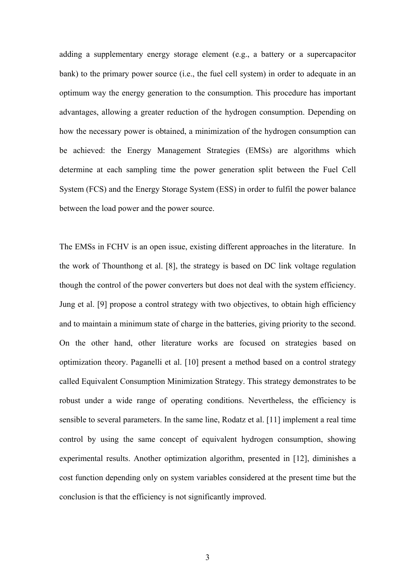adding a supplementary energy storage element (e.g., a battery or a supercapacitor bank) to the primary power source (i.e., the fuel cell system) in order to adequate in an optimum way the energy generation to the consumption. This procedure has important advantages, allowing a greater reduction of the hydrogen consumption. Depending on how the necessary power is obtained, a minimization of the hydrogen consumption can be achieved: the Energy Management Strategies (EMSs) are algorithms which determine at each sampling time the power generation split between the Fuel Cell System (FCS) and the Energy Storage System (ESS) in order to fulfil the power balance between the load power and the power source.

The EMSs in FCHV is an open issue, existing different approaches in the literature. In the work of Thounthong et al. [8], the strategy is based on DC link voltage regulation though the control of the power converters but does not deal with the system efficiency. Jung et al. [9] propose a control strategy with two objectives, to obtain high efficiency and to maintain a minimum state of charge in the batteries, giving priority to the second. On the other hand, other literature works are focused on strategies based on optimization theory. Paganelli et al. [10] present a method based on a control strategy called Equivalent Consumption Minimization Strategy. This strategy demonstrates to be robust under a wide range of operating conditions. Nevertheless, the efficiency is sensible to several parameters. In the same line, Rodatz et al. [11] implement a real time control by using the same concept of equivalent hydrogen consumption, showing experimental results. Another optimization algorithm, presented in [12], diminishes a cost function depending only on system variables considered at the present time but the conclusion is that the efficiency is not significantly improved.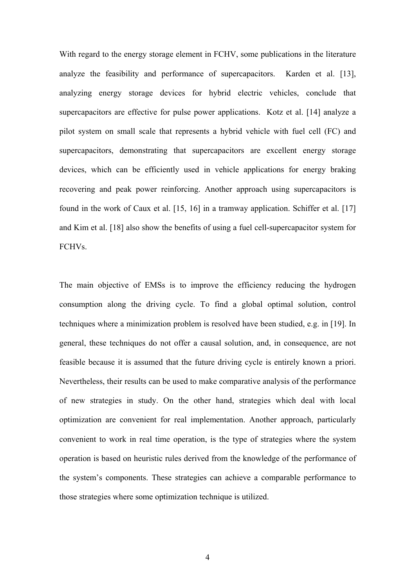With regard to the energy storage element in FCHV, some publications in the literature analyze the feasibility and performance of supercapacitors. Karden et al. [13], analyzing energy storage devices for hybrid electric vehicles, conclude that supercapacitors are effective for pulse power applications. Kotz et al. [14] analyze a pilot system on small scale that represents a hybrid vehicle with fuel cell (FC) and supercapacitors, demonstrating that supercapacitors are excellent energy storage devices, which can be efficiently used in vehicle applications for energy braking recovering and peak power reinforcing. Another approach using supercapacitors is found in the work of Caux et al. [15, 16] in a tramway application. Schiffer et al. [17] and Kim et al. [18] also show the benefits of using a fuel cell-supercapacitor system for FCHVs.

The main objective of EMSs is to improve the efficiency reducing the hydrogen consumption along the driving cycle. To find a global optimal solution, control techniques where a minimization problem is resolved have been studied, e.g. in [19]. In general, these techniques do not offer a causal solution, and, in consequence, are not feasible because it is assumed that the future driving cycle is entirely known a priori. Nevertheless, their results can be used to make comparative analysis of the performance of new strategies in study. On the other hand, strategies which deal with local optimization are convenient for real implementation. Another approach, particularly convenient to work in real time operation, is the type of strategies where the system operation is based on heuristic rules derived from the knowledge of the performance of the system's components. These strategies can achieve a comparable performance to those strategies where some optimization technique is utilized.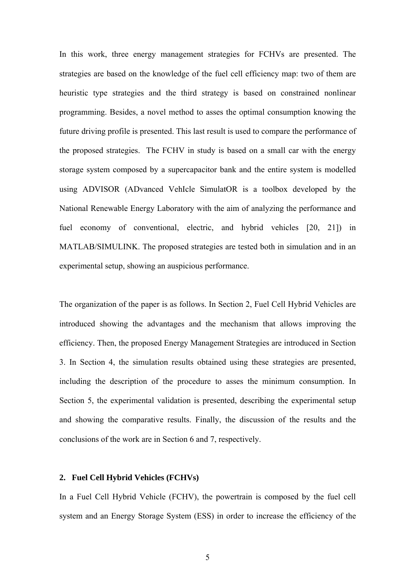In this work, three energy management strategies for FCHVs are presented. The strategies are based on the knowledge of the fuel cell efficiency map: two of them are heuristic type strategies and the third strategy is based on constrained nonlinear programming. Besides, a novel method to asses the optimal consumption knowing the future driving profile is presented. This last result is used to compare the performance of the proposed strategies. The FCHV in study is based on a small car with the energy storage system composed by a supercapacitor bank and the entire system is modelled using ADVISOR (ADvanced VehIcle SimulatOR is a toolbox developed by the National Renewable Energy Laboratory with the aim of analyzing the performance and fuel economy of conventional, electric, and hybrid vehicles [20, 21]) in MATLAB/SIMULINK. The proposed strategies are tested both in simulation and in an experimental setup, showing an auspicious performance.

The organization of the paper is as follows. In Section 2, Fuel Cell Hybrid Vehicles are introduced showing the advantages and the mechanism that allows improving the efficiency. Then, the proposed Energy Management Strategies are introduced in Section 3. In Section 4, the simulation results obtained using these strategies are presented, including the description of the procedure to asses the minimum consumption. In Section 5, the experimental validation is presented, describing the experimental setup and showing the comparative results. Finally, the discussion of the results and the conclusions of the work are in Section 6 and 7, respectively.

# **2. Fuel Cell Hybrid Vehicles (FCHVs)**

In a Fuel Cell Hybrid Vehicle (FCHV), the powertrain is composed by the fuel cell system and an Energy Storage System (ESS) in order to increase the efficiency of the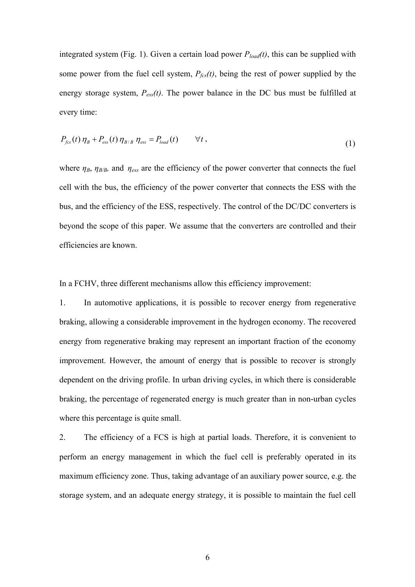integrated system (Fig. 1). Given a certain load power  $P_{load}(t)$ , this can be supplied with some power from the fuel cell system,  $P_{\text{fcs}}(t)$ , being the rest of power supplied by the energy storage system, *Pess(t)*. The power balance in the DC bus must be fulfilled at every time:

$$
P_{fcs}(t)\,\eta_B + P_{ess}(t)\,\eta_{B/B}\,\eta_{ess} = P_{load}(t) \qquad \forall t\,,\tag{1}
$$

where  $\eta_B$ ,  $\eta_{B/B}$ , and  $\eta_{ess}$  are the efficiency of the power converter that connects the fuel cell with the bus, the efficiency of the power converter that connects the ESS with the bus, and the efficiency of the ESS, respectively. The control of the DC/DC converters is beyond the scope of this paper. We assume that the converters are controlled and their efficiencies are known.

In a FCHV, three different mechanisms allow this efficiency improvement:

1. In automotive applications, it is possible to recover energy from regenerative braking, allowing a considerable improvement in the hydrogen economy. The recovered energy from regenerative braking may represent an important fraction of the economy improvement. However, the amount of energy that is possible to recover is strongly dependent on the driving profile. In urban driving cycles, in which there is considerable braking, the percentage of regenerated energy is much greater than in non-urban cycles where this percentage is quite small.

2. The efficiency of a FCS is high at partial loads. Therefore, it is convenient to perform an energy management in which the fuel cell is preferably operated in its maximum efficiency zone. Thus, taking advantage of an auxiliary power source, e.g. the storage system, and an adequate energy strategy, it is possible to maintain the fuel cell

6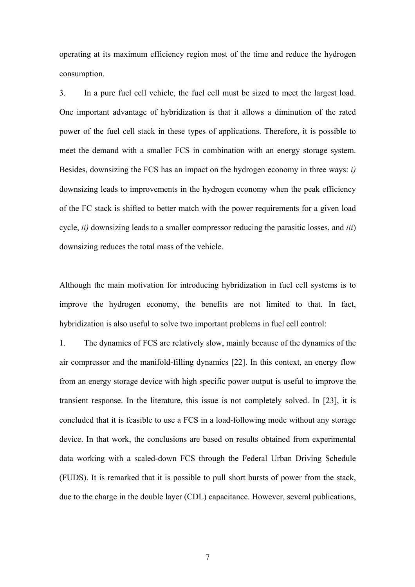operating at its maximum efficiency region most of the time and reduce the hydrogen consumption.

3. In a pure fuel cell vehicle, the fuel cell must be sized to meet the largest load. One important advantage of hybridization is that it allows a diminution of the rated power of the fuel cell stack in these types of applications. Therefore, it is possible to meet the demand with a smaller FCS in combination with an energy storage system. Besides, downsizing the FCS has an impact on the hydrogen economy in three ways: *i)* downsizing leads to improvements in the hydrogen economy when the peak efficiency of the FC stack is shifted to better match with the power requirements for a given load cycle, *ii)* downsizing leads to a smaller compressor reducing the parasitic losses, and *iii*) downsizing reduces the total mass of the vehicle.

Although the main motivation for introducing hybridization in fuel cell systems is to improve the hydrogen economy, the benefits are not limited to that. In fact, hybridization is also useful to solve two important problems in fuel cell control:

1. The dynamics of FCS are relatively slow, mainly because of the dynamics of the air compressor and the manifold-filling dynamics [22]. In this context, an energy flow from an energy storage device with high specific power output is useful to improve the transient response. In the literature, this issue is not completely solved. In [23], it is concluded that it is feasible to use a FCS in a load-following mode without any storage device. In that work, the conclusions are based on results obtained from experimental data working with a scaled-down FCS through the Federal Urban Driving Schedule (FUDS). It is remarked that it is possible to pull short bursts of power from the stack, due to the charge in the double layer (CDL) capacitance. However, several publications,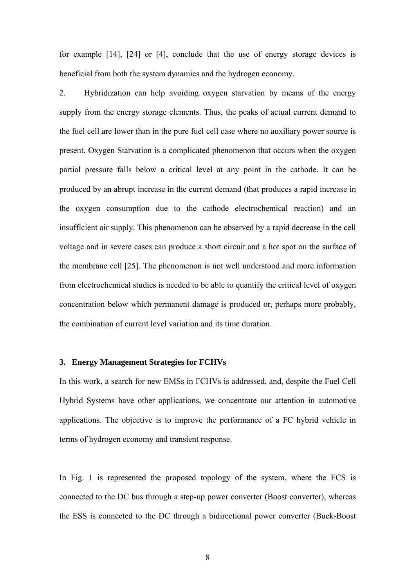for example [14], [24] or [4], conclude that the use of energy storage devices is beneficial from both the system dynamics and the hydrogen economy.

2. Hybridization can help avoiding oxygen starvation by means of the energy supply from the energy storage elements. Thus, the peaks of actual current demand to the fuel cell are lower than in the pure fuel cell case where no auxiliary power source is present. Oxygen Starvation is a complicated phenomenon that occurs when the oxygen partial pressure falls below a critical level at any point in the cathode. It can be produced by an abrupt increase in the current demand (that produces a rapid increase in the oxygen consumption due to the cathode electrochemical reaction) and an insufficient air supply. This phenomenon can be observed by a rapid decrease in the cell voltage and in severe cases can produce a short circuit and a hot spot on the surface of the membrane cell [25]. The phenomenon is not well understood and more information from electrochemical studies is needed to be able to quantify the critical level of oxygen concentration below which permanent damage is produced or, perhaps more probably, the combination of current level variation and its time duration.

#### **3. Energy Management Strategies for FCHVs**

In this work, a search for new EMSs in FCHVs is addressed, and, despite the Fuel Cell Hybrid Systems have other applications, we concentrate our attention in automotive applications. The objective is to improve the performance of a FC hybrid vehicle in terms of hydrogen economy and transient response.

In Fig. 1 is represented the proposed topology of the system, where the FCS is connected to the DC bus through a step-up power converter (Boost converter), whereas the ESS is connected to the DC through a bidirectional power converter (Buck-Boost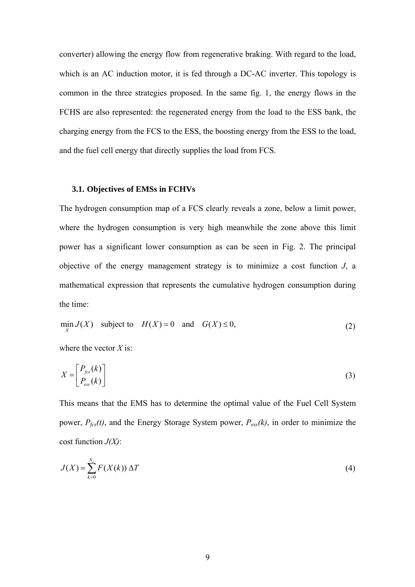converter) allowing the energy flow from regenerative braking. With regard to the load, which is an AC induction motor, it is fed through a DC-AC inverter. This topology is common in the three strategies proposed. In the same fig. 1, the energy flows in the FCHS are also represented: the regenerated energy from the load to the ESS bank, the charging energy from the FCS to the ESS, the boosting energy from the ESS to the load, and the fuel cell energy that directly supplies the load from FCS.

# **3.1. Objectives of EMSs in FCHVs**

The hydrogen consumption map of a FCS clearly reveals a zone, below a limit power, where the hydrogen consumption is very high meanwhile the zone above this limit power has a significant lower consumption as can be seen in Fig. 2. The principal objective of the energy management strategy is to minimize a cost function *J*, a mathematical expression that represents the cumulative hydrogen consumption during the time:

$$
\min_{X} J(X) \quad \text{subject to} \quad H(X) = 0 \quad \text{and} \quad G(X) \le 0,
$$
\n<sup>(2)</sup>

where the vector *X* is:

$$
X = \begin{bmatrix} P_{fcs}(k) \\ P_{ess}(k) \end{bmatrix} \tag{3}
$$

This means that the EMS has to determine the optimal value of the Fuel Cell System power, *Pfcs(t)*, and the Energy Storage System power, *Pess(k)*, in order to minimize the cost function *J(X)*:

$$
J(X) = \sum_{k=0}^{N_c} F(X(k)) \Delta T
$$
 (4)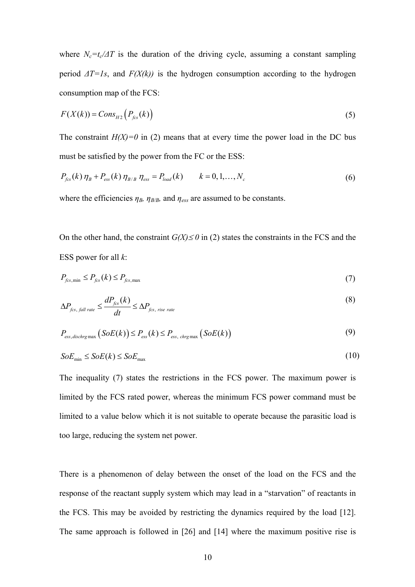where  $N_c = t_c / \Delta T$  is the duration of the driving cycle, assuming a constant sampling period  $\Delta T = Is$ , and  $F(X(k))$  is the hydrogen consumption according to the hydrogen consumption map of the FCS:

$$
F(X(k)) = Cons_{H2}\left(P_{fcs}(k)\right) \tag{5}
$$

The constraint  $H(X)=0$  in (2) means that at every time the power load in the DC bus must be satisfied by the power from the FC or the ESS:

$$
P_{fcs}(k)\,\eta_B + P_{ess}(k)\,\eta_{B/B}\,\eta_{ess} = P_{load}(k) \qquad k = 0, 1, ..., N_c
$$
 (6)

where the efficiencies  $\eta_B$ ,  $\eta_{B/B}$ , and  $\eta_{ess}$  are assumed to be constants.

On the other hand, the constraint  $G(X) \le 0$  in (2) states the constraints in the FCS and the ESS power for all *k*:

$$
P_{fcs,min} \le P_{fcs}(k) \le P_{fcs,max} \tag{7}
$$

$$
\Delta P_{\text{fcs, fall rate}} \le \frac{dP_{\text{fcs}}(k)}{dt} \le \Delta P_{\text{fcs, rise rate}}
$$
\n(8)

$$
P_{\text{ess,dischrg max}}\left(SoE(k)\right) \le P_{\text{ess}}(k) \le P_{\text{ess, chrg max}}\left(SoE(k)\right) \tag{9}
$$

$$
SoE_{\min} \le SoE(k) \le SoE_{\max} \tag{10}
$$

The inequality (7) states the restrictions in the FCS power. The maximum power is limited by the FCS rated power, whereas the minimum FCS power command must be limited to a value below which it is not suitable to operate because the parasitic load is too large, reducing the system net power.

There is a phenomenon of delay between the onset of the load on the FCS and the response of the reactant supply system which may lead in a "starvation" of reactants in the FCS. This may be avoided by restricting the dynamics required by the load [12]. The same approach is followed in [26] and [14] where the maximum positive rise is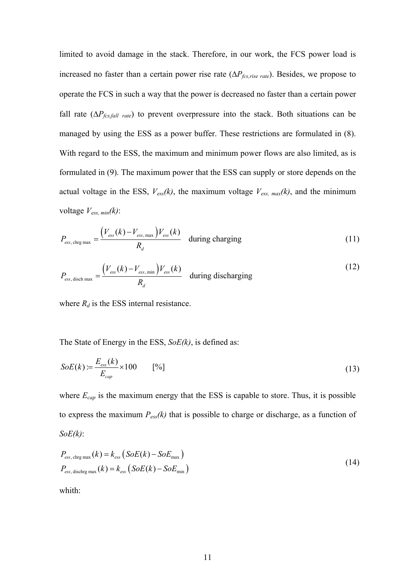limited to avoid damage in the stack. Therefore, in our work, the FCS power load is increased no faster than a certain power rise rate  $(\Delta P_{fcs,rise\ rate})$ . Besides, we propose to operate the FCS in such a way that the power is decreased no faster than a certain power fall rate  $(\Delta P_{fcs,fall\ rate})$  to prevent overpressure into the stack. Both situations can be managed by using the ESS as a power buffer. These restrictions are formulated in (8). With regard to the ESS, the maximum and minimum power flows are also limited, as is formulated in (9). The maximum power that the ESS can supply or store depends on the actual voltage in the ESS,  $V_{\text{ess}}(k)$ , the maximum voltage  $V_{\text{ess, max}}(k)$ , and the minimum voltage *Vess, min(k)*:

$$
P_{\rm ess, \, chrg \, max} = \frac{\left(V_{\rm ess}(k) - V_{\rm ess, \, max}\right)V_{\rm ess}(k)}{R_d} \quad \text{during charging} \tag{11}
$$

$$
P_{\rm ess, disch\,max} = \frac{\left(V_{\rm ess}(k) - V_{\rm ess,min}\right)V_{\rm ess}(k)}{R_d} \quad \text{during discharging} \tag{12}
$$

where  $R_d$  is the ESS internal resistance.

The State of Energy in the ESS, *SoE(k)*, is defined as:

$$
SoE(k) := \frac{E_{\text{ess}}(k)}{E_{\text{cap}}} \times 100 \qquad [%]
$$
\n(13)

where  $E_{cap}$  is the maximum energy that the ESS is capable to store. Thus, it is possible to express the maximum  $P_{\text{ess}}(k)$  that is possible to charge or discharge, as a function of *SoE(k)*:

$$
P_{\rm ess, chrg\,max}(k) = k_{\rm ess} (SoE(k) - SoE_{\rm max})
$$
  
\n
$$
P_{\rm ess, dischrg\,max}(k) = k_{\rm ess} (SoE(k) - SoE_{\rm min})
$$
\n(14)

whith: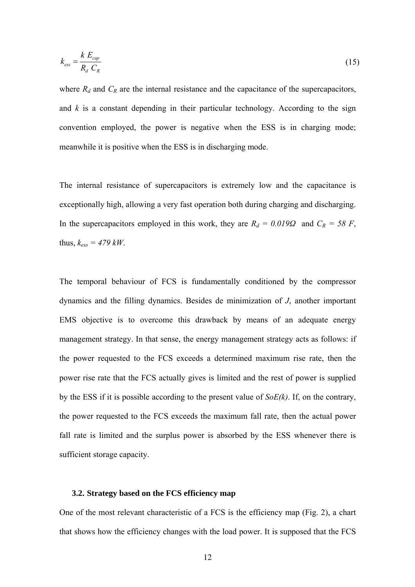$$
k_{\rm ess} = \frac{k \ E_{\rm cap}}{R_d \ C_R} \tag{15}
$$

where  $R_d$  and  $C_R$  are the internal resistance and the capacitance of the supercapacitors, and  $k$  is a constant depending in their particular technology. According to the sign convention employed, the power is negative when the ESS is in charging mode; meanwhile it is positive when the ESS is in discharging mode.

The internal resistance of supercapacitors is extremely low and the capacitance is exceptionally high, allowing a very fast operation both during charging and discharging. In the supercapacitors employed in this work, they are  $R_d = 0.019\Omega$  and  $C_R = 58$  F, thus,  $k_{ess} = 479$  kW.

The temporal behaviour of FCS is fundamentally conditioned by the compressor dynamics and the filling dynamics. Besides de minimization of *J*, another important EMS objective is to overcome this drawback by means of an adequate energy management strategy. In that sense, the energy management strategy acts as follows: if the power requested to the FCS exceeds a determined maximum rise rate, then the power rise rate that the FCS actually gives is limited and the rest of power is supplied by the ESS if it is possible according to the present value of *SoE(k)*. If, on the contrary, the power requested to the FCS exceeds the maximum fall rate, then the actual power fall rate is limited and the surplus power is absorbed by the ESS whenever there is sufficient storage capacity.

#### **3.2. Strategy based on the FCS efficiency map**

One of the most relevant characteristic of a FCS is the efficiency map (Fig. 2), a chart that shows how the efficiency changes with the load power. It is supposed that the FCS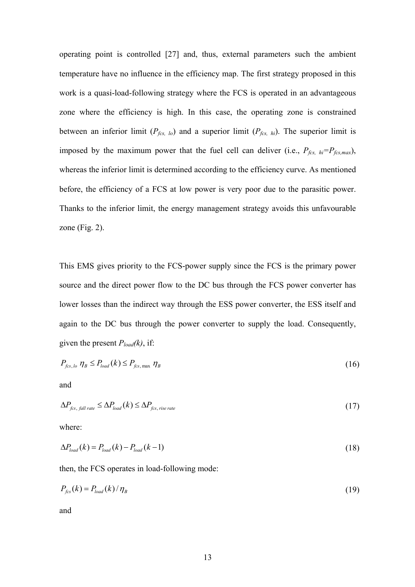operating point is controlled [27] and, thus, external parameters such the ambient temperature have no influence in the efficiency map. The first strategy proposed in this work is a quasi-load-following strategy where the FCS is operated in an advantageous zone where the efficiency is high. In this case, the operating zone is constrained between an inferior limit  $(P_{fcs, lo})$  and a superior limit  $(P_{fcs, hi})$ . The superior limit is imposed by the maximum power that the fuel cell can deliver (i.e.,  $P_{fcs, hi} = P_{fcs, max}$ ), whereas the inferior limit is determined according to the efficiency curve. As mentioned before, the efficiency of a FCS at low power is very poor due to the parasitic power. Thanks to the inferior limit, the energy management strategy avoids this unfavourable zone (Fig. 2).

This EMS gives priority to the FCS-power supply since the FCS is the primary power source and the direct power flow to the DC bus through the FCS power converter has lower losses than the indirect way through the ESS power converter, the ESS itself and again to the DC bus through the power converter to supply the load. Consequently, given the present *Pload(k)*, if:

$$
P_{fcs,lo} \eta_B \le P_{load}(k) \le P_{fcs, \max} \eta_B \tag{16}
$$

and

$$
\Delta P_{\text{fcs, fall rate}} \leq \Delta P_{\text{load}}(k) \leq \Delta P_{\text{fcs, rise rate}} \tag{17}
$$

where:

$$
\Delta P_{load}(k) = P_{load}(k) - P_{load}(k-1) \tag{18}
$$

then, the FCS operates in load-following mode:

$$
P_{\text{fcs}}(k) = P_{\text{load}}(k) / \eta_{\text{B}}
$$
\n<sup>(19)</sup>

and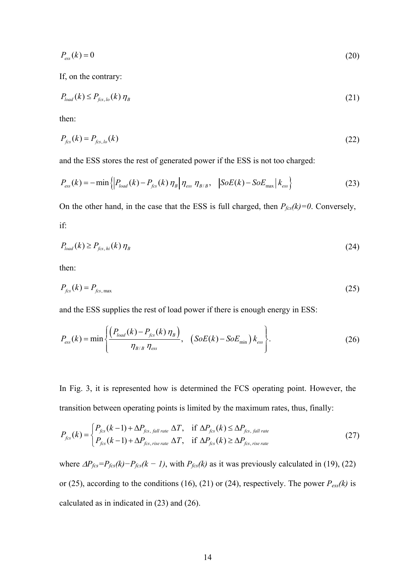$$
P_{\rm ess}(k) = 0\tag{20}
$$

If, on the contrary:

$$
P_{load}(k) \le P_{fcs,lo}(k) \eta_B \tag{21}
$$

then:

$$
P_{\text{fcs}}(k) = P_{\text{fcs},\text{lo}}(k) \tag{22}
$$

and the ESS stores the rest of generated power if the ESS is not too charged:

$$
P_{\rm ess}(k) = -\min\left\{ \left| P_{\rm load}(k) - P_{\rm fcs}(k) \eta_{\rm B} \right| \eta_{\rm ess} \eta_{\rm B/B}, \quad \left| \text{SoE}(k) - \text{SoE}_{\rm max} \right| k_{\rm ess} \right\} \tag{23}
$$

On the other hand, in the case that the ESS is full charged, then  $P_{fcs}(k)=0$ . Conversely, if:

$$
P_{load}(k) \ge P_{fcs,hi}(k) \eta_B \tag{24}
$$

then:

$$
P_{fcs}(k) = P_{fcs, \text{max}} \tag{25}
$$

and the ESS supplies the rest of load power if there is enough energy in ESS:

$$
P_{\rm ess}(k) = \min \left\{ \frac{\left(P_{\rm load}(k) - P_{\rm fcs}(k) \eta_{\rm B}\right)}{\eta_{\rm B/B} \eta_{\rm ess}}, \quad \left(SoE(k) - SoE_{\rm min}\right)k_{\rm ess}\right\}.
$$
 (26)

In Fig. 3, it is represented how is determined the FCS operating point. However, the transition between operating points is limited by the maximum rates, thus, finally:

$$
P_{fcs}(k) = \begin{cases} P_{fcs}(k-1) + \Delta P_{fcs, fall\ rate} \Delta T, & \text{if } \Delta P_{fcs}(k) \le \Delta P_{fcs, fall\ rate} \\ P_{fcs}(k-1) + \Delta P_{fcs, rise\ rate} \Delta T, & \text{if } \Delta P_{fcs}(k) \ge \Delta P_{fcs, rise\ rate} \end{cases}
$$
(27)

where  $\Delta P_{fcs} = P_{fcs}(k) - P_{fcs}(k - 1)$ , with  $P_{fcs}(k)$  as it was previously calculated in (19), (22) or (25), according to the conditions (16), (21) or (24), respectively. The power  $P_{\text{ess}}(k)$  is calculated as in indicated in (23) and (26).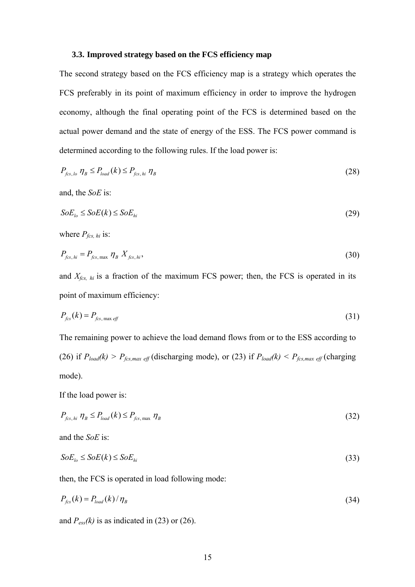#### **3.3. Improved strategy based on the FCS efficiency map**

The second strategy based on the FCS efficiency map is a strategy which operates the FCS preferably in its point of maximum efficiency in order to improve the hydrogen economy, although the final operating point of the FCS is determined based on the actual power demand and the state of energy of the ESS. The FCS power command is determined according to the following rules. If the load power is:

$$
P_{\text{fcs,lo}} \eta_B \le P_{\text{load}}(k) \le P_{\text{fcs,hi}} \eta_B \tag{28}
$$

and, the *SoE* is:

$$
SoE_{l_o} \le SoE(k) \le SoE_{hi} \tag{29}
$$

where  $P_{fcs, hi}$  is:

$$
P_{fcs,hi} = P_{fcs, \max} \eta_B X_{fcs,hi}, \tag{30}
$$

and  $X_{fcs, hi}$  is a fraction of the maximum FCS power; then, the FCS is operated in its point of maximum efficiency:

$$
P_{\text{fcs}}(k) = P_{\text{fcs, max eff}} \tag{31}
$$

The remaining power to achieve the load demand flows from or to the ESS according to (26) if  $P_{load}(k) > P_{fcs,max\text{ eff}}$  (discharging mode), or (23) if  $P_{load}(k) < P_{fcs,max\text{ eff}}$  (charging mode).

If the load power is:

$$
P_{fcs, hi} \eta_B \le P_{load}(k) \le P_{fcs, max} \eta_B \tag{32}
$$

and the *SoE* is:

$$
SoE_{lo} \le SoE(k) \le SoE_{hi} \tag{33}
$$

then, the FCS is operated in load following mode:

$$
P_{\text{fcs}}(k) = P_{\text{load}}(k) / \eta_{\text{B}}
$$
\n
$$
(34)
$$

and  $P_{\text{ess}}(k)$  is as indicated in (23) or (26).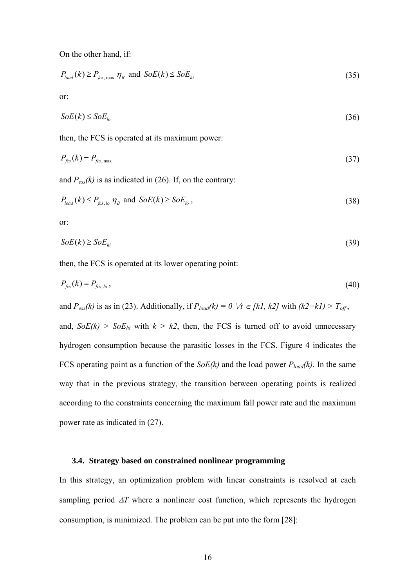On the other hand, if:

$$
P_{load}(k) \ge P_{fcs, \text{max}} \eta_B \text{ and } SoE(k) \le SoE_{hi} \tag{35}
$$

or:

$$
SoE(k) \le SoE_{l_o} \tag{36}
$$

then, the FCS is operated at its maximum power:

$$
P_{\text{fcs}}(k) = P_{\text{fcs, max}} \tag{37}
$$

and  $P_{\text{ess}}(k)$  is as indicated in (26). If, on the contrary:

$$
P_{load}(k) \le P_{fcs,lo} \eta_B \text{ and } SoE(k) \ge SoE_{lo},\tag{38}
$$

or:

$$
SoE(k) \ge SoE_{hi} \tag{39}
$$

then, the FCS is operated at its lower operating point:

$$
P_{fcs}(k) = P_{fcs,lo} \tag{40}
$$

and *P*<sub>ess</sub>(k) is as in (23). Additionally, if  $P_{load}(k) = 0 \ \forall t \in [k]$ , k2] with  $(k2 - k) > T_{off}$ ,

and,  $SoE(k) > SoE_{hi}$  with  $k > k$ , then, the FCS is turned off to avoid unnecessary hydrogen consumption because the parasitic losses in the FCS. Figure 4 indicates the FCS operating point as a function of the *SoE(k)* and the load power *Pload(k)*. In the same way that in the previous strategy, the transition between operating points is realized according to the constraints concerning the maximum fall power rate and the maximum power rate as indicated in (27).

## **3.4. Strategy based on constrained nonlinear programming**

In this strategy, an optimization problem with linear constraints is resolved at each sampling period Δ*T* where a nonlinear cost function, which represents the hydrogen consumption, is minimized. The problem can be put into the form [28]: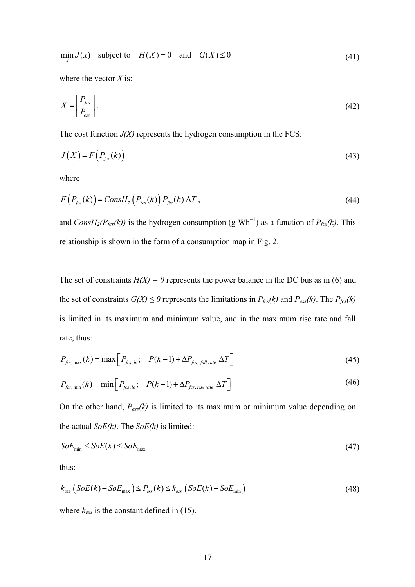$$
\min_{X} J(x) \quad \text{subject to} \quad H(X) = 0 \quad \text{and} \quad G(X) \le 0 \tag{41}
$$

where the vector *X* is:

$$
X = \begin{bmatrix} P_{fcs} \\ P_{\text{ess}} \end{bmatrix} . \tag{42}
$$

The cost function  $J(X)$  represents the hydrogen consumption in the FCS:

$$
J(X) = F\left(P_{fcs}(k)\right) \tag{43}
$$

where

$$
F(P_{fcs}(k)) = Const_{2} (P_{fcs}(k)) P_{fcs}(k) \Delta T, \qquad (44)
$$

and *ConsH<sub>2</sub>(P<sub>fcs</sub>(k))* is the hydrogen consumption (g Wh<sup>-1</sup>) as a function of  $P_{fcs}(k)$ . This relationship is shown in the form of a consumption map in Fig. 2.

The set of constraints  $H(X) = 0$  represents the power balance in the DC bus as in (6) and the set of constraints  $G(X) \le 0$  represents the limitations in  $P_{fcs}(k)$  and  $P_{ess}(k)$ . The  $P_{fcs}(k)$ is limited in its maximum and minimum value, and in the maximum rise rate and fall rate, thus:

$$
P_{fcs, \max}(k) = \max \left[ P_{fcs, hi}; \quad P(k-1) + \Delta P_{fcs, fall\ rate} \Delta T \right]
$$
\n(45)

$$
P_{fcs,min}(k) = \min\left[P_{fcs,lo}; \quad P(k-1) + \Delta P_{fcs, rise\ rate} \Delta T\right]
$$
\n(46)

On the other hand, *Pess(k)* is limited to its maximum or minimum value depending on the actual *SoE(k)*. The *SoE(k)* is limited:

$$
SoE_{\min} \le SoE(k) \le SoE_{\max} \tag{47}
$$

thus:

$$
k_{\rm ess} \left( SoE(k) - SoE_{\rm max} \right) \le P_{\rm ess}(k) \le k_{\rm ess} \left( SoE(k) - SoE_{\rm min} \right) \tag{48}
$$

where  $k_{\text{ess}}$  is the constant defined in (15).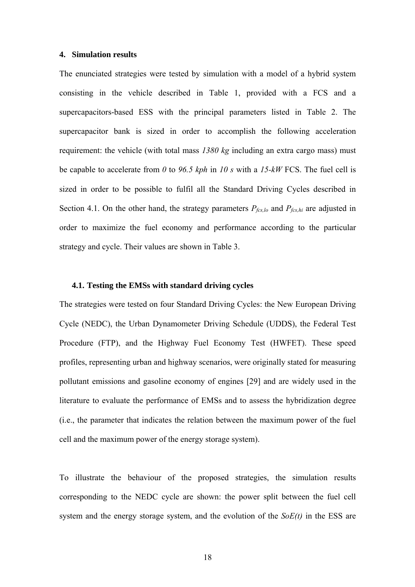#### **4. Simulation results**

The enunciated strategies were tested by simulation with a model of a hybrid system consisting in the vehicle described in Table 1, provided with a FCS and a supercapacitors-based ESS with the principal parameters listed in Table 2. The supercapacitor bank is sized in order to accomplish the following acceleration requirement: the vehicle (with total mass *1380 kg* including an extra cargo mass) must be capable to accelerate from *0* to *96.5 kph* in *10 s* with a *15-kW* FCS. The fuel cell is sized in order to be possible to fulfil all the Standard Driving Cycles described in Section 4.1. On the other hand, the strategy parameters  $P_{fcs,lo}$  and  $P_{fcs,hi}$  are adjusted in order to maximize the fuel economy and performance according to the particular strategy and cycle. Their values are shown in Table 3.

#### **4.1. Testing the EMSs with standard driving cycles**

The strategies were tested on four Standard Driving Cycles: the New European Driving Cycle (NEDC), the Urban Dynamometer Driving Schedule (UDDS), the Federal Test Procedure (FTP), and the Highway Fuel Economy Test (HWFET). These speed profiles, representing urban and highway scenarios, were originally stated for measuring pollutant emissions and gasoline economy of engines [29] and are widely used in the literature to evaluate the performance of EMSs and to assess the hybridization degree (i.e., the parameter that indicates the relation between the maximum power of the fuel cell and the maximum power of the energy storage system).

To illustrate the behaviour of the proposed strategies, the simulation results corresponding to the NEDC cycle are shown: the power split between the fuel cell system and the energy storage system, and the evolution of the *SoE(t)* in the ESS are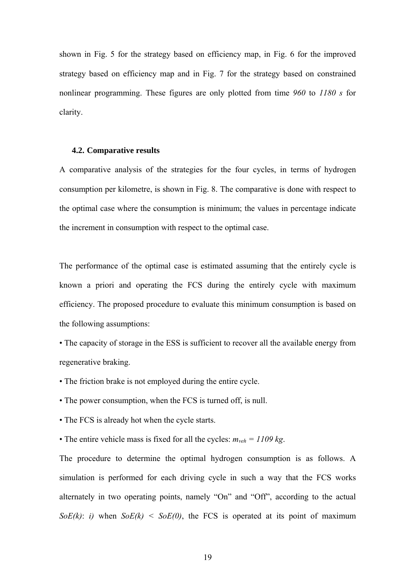shown in Fig. 5 for the strategy based on efficiency map, in Fig. 6 for the improved strategy based on efficiency map and in Fig. 7 for the strategy based on constrained nonlinear programming. These figures are only plotted from time *960* to *1180 s* for clarity.

#### **4.2. Comparative results**

A comparative analysis of the strategies for the four cycles, in terms of hydrogen consumption per kilometre, is shown in Fig. 8. The comparative is done with respect to the optimal case where the consumption is minimum; the values in percentage indicate the increment in consumption with respect to the optimal case.

The performance of the optimal case is estimated assuming that the entirely cycle is known a priori and operating the FCS during the entirely cycle with maximum efficiency. The proposed procedure to evaluate this minimum consumption is based on the following assumptions:

• The capacity of storage in the ESS is sufficient to recover all the available energy from regenerative braking.

- The friction brake is not employed during the entire cycle.
- The power consumption, when the FCS is turned off, is null.
- The FCS is already hot when the cycle starts.
- The entire vehicle mass is fixed for all the cycles:  $m_{veh} = 1109 kg$ .

The procedure to determine the optimal hydrogen consumption is as follows. A simulation is performed for each driving cycle in such a way that the FCS works alternately in two operating points, namely "On" and "Off", according to the actual *SoE(k)*: *i)* when  $SoE(k) < SoE(0)$ , the FCS is operated at its point of maximum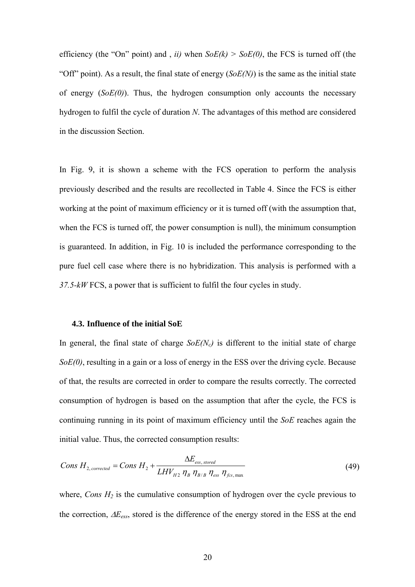efficiency (the "On" point) and , *ii)* when *SoE(k) > SoE(0)*, the FCS is turned off (the "Off" point). As a result, the final state of energy (*SoE(N)*) is the same as the initial state of energy (*SoE(0)*). Thus, the hydrogen consumption only accounts the necessary hydrogen to fulfil the cycle of duration *N*. The advantages of this method are considered in the discussion Section.

In Fig. 9, it is shown a scheme with the FCS operation to perform the analysis previously described and the results are recollected in Table 4. Since the FCS is either working at the point of maximum efficiency or it is turned off (with the assumption that, when the FCS is turned off, the power consumption is null), the minimum consumption is guaranteed. In addition, in Fig. 10 is included the performance corresponding to the pure fuel cell case where there is no hybridization. This analysis is performed with a *37.5-kW* FCS, a power that is sufficient to fulfil the four cycles in study.

#### **4.3. Influence of the initial SoE**

In general, the final state of charge  $SoE(N_c)$  is different to the initial state of charge *SoE(0)*, resulting in a gain or a loss of energy in the ESS over the driving cycle. Because of that, the results are corrected in order to compare the results correctly. The corrected consumption of hydrogen is based on the assumption that after the cycle, the FCS is continuing running in its point of maximum efficiency until the *SoE* reaches again the initial value. Thus, the corrected consumption results:

$$
Cons\ H_{2,corrected} = Cons\ H_2 + \frac{\Delta E_{\text{ess, stored}}}{LHV_{H2}\ \eta_B\ \eta_{B/B}\ \eta_{\text{ess}}\ \eta_{\text{fcs, max}}}
$$
(49)

where, *Cons*  $H_2$  is the cumulative consumption of hydrogen over the cycle previous to the correction, Δ*Eess*, stored is the difference of the energy stored in the ESS at the end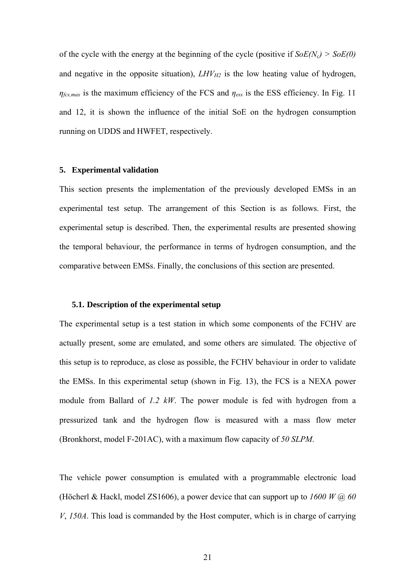of the cycle with the energy at the beginning of the cycle (positive if  $SoE(N_c) > SoE(0)$ ) and negative in the opposite situation),  $LHV_{H2}$  is the low heating value of hydrogen, *ηfcs,max* is the maximum efficiency of the FCS and *ηess* is the ESS efficiency. In Fig. 11 and 12, it is shown the influence of the initial SoE on the hydrogen consumption running on UDDS and HWFET, respectively.

# **5. Experimental validation**

This section presents the implementation of the previously developed EMSs in an experimental test setup. The arrangement of this Section is as follows. First, the experimental setup is described. Then, the experimental results are presented showing the temporal behaviour, the performance in terms of hydrogen consumption, and the comparative between EMSs. Finally, the conclusions of this section are presented.

#### **5.1. Description of the experimental setup**

The experimental setup is a test station in which some components of the FCHV are actually present, some are emulated, and some others are simulated. The objective of this setup is to reproduce, as close as possible, the FCHV behaviour in order to validate the EMSs. In this experimental setup (shown in Fig. 13), the FCS is a NEXA power module from Ballard of *1.2 kW*. The power module is fed with hydrogen from a pressurized tank and the hydrogen flow is measured with a mass flow meter (Bronkhorst, model F-201AC), with a maximum flow capacity of *50 SLPM*.

The vehicle power consumption is emulated with a programmable electronic load (Höcherl & Hackl, model ZS1606), a power device that can support up to *1600 W* @ *60 V*, *150A*. This load is commanded by the Host computer, which is in charge of carrying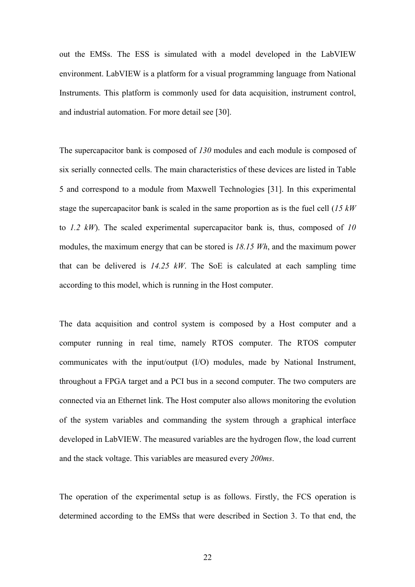out the EMSs. The ESS is simulated with a model developed in the LabVIEW environment. LabVIEW is a platform for a visual programming language from National Instruments. This platform is commonly used for data acquisition, instrument control, and industrial automation. For more detail see [30].

The supercapacitor bank is composed of *130* modules and each module is composed of six serially connected cells. The main characteristics of these devices are listed in Table 5 and correspond to a module from Maxwell Technologies [31]. In this experimental stage the supercapacitor bank is scaled in the same proportion as is the fuel cell (*15 kW* to *1.2 kW*). The scaled experimental supercapacitor bank is, thus, composed of *10* modules, the maximum energy that can be stored is *18.15 Wh*, and the maximum power that can be delivered is *14.25 kW*. The SoE is calculated at each sampling time according to this model, which is running in the Host computer.

The data acquisition and control system is composed by a Host computer and a computer running in real time, namely RTOS computer. The RTOS computer communicates with the input/output (I/O) modules, made by National Instrument, throughout a FPGA target and a PCI bus in a second computer. The two computers are connected via an Ethernet link. The Host computer also allows monitoring the evolution of the system variables and commanding the system through a graphical interface developed in LabVIEW. The measured variables are the hydrogen flow, the load current and the stack voltage. This variables are measured every *200ms*.

The operation of the experimental setup is as follows. Firstly, the FCS operation is determined according to the EMSs that were described in Section 3. To that end, the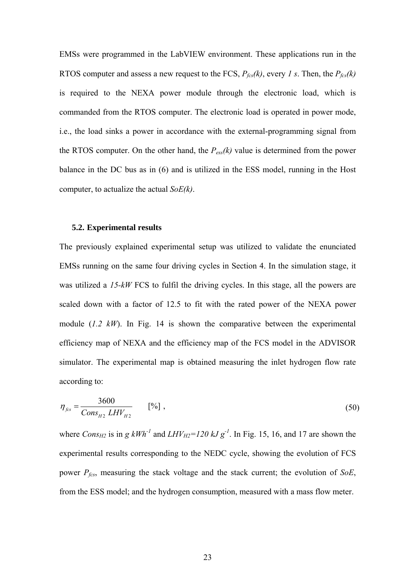EMSs were programmed in the LabVIEW environment. These applications run in the RTOS computer and assess a new request to the FCS,  $P_{\text{fcs}}(k)$ , every *1 s*. Then, the  $P_{\text{fcs}}(k)$ is required to the NEXA power module through the electronic load, which is commanded from the RTOS computer. The electronic load is operated in power mode, i.e., the load sinks a power in accordance with the external-programming signal from the RTOS computer. On the other hand, the  $P_{\text{ess}}(k)$  value is determined from the power balance in the DC bus as in (6) and is utilized in the ESS model, running in the Host computer, to actualize the actual *SoE(k)*.

# **5.2. Experimental results**

The previously explained experimental setup was utilized to validate the enunciated EMSs running on the same four driving cycles in Section 4. In the simulation stage, it was utilized a *15-kW* FCS to fulfil the driving cycles. In this stage, all the powers are scaled down with a factor of 12.5 to fit with the rated power of the NEXA power module (*1.2 kW*). In Fig. 14 is shown the comparative between the experimental efficiency map of NEXA and the efficiency map of the FCS model in the ADVISOR simulator. The experimental map is obtained measuring the inlet hydrogen flow rate according to:

$$
\eta_{fcs} = \frac{3600}{Cons_{H2} LHV_{H2}} \qquad [%],
$$
\n(50)

where *Cons<sub>H2</sub>* is in *g kWh<sup>-1</sup>* and *LHV<sub>H2</sub>*=120 kJ  $g^{-1}$ . In Fig. 15, 16, and 17 are shown the experimental results corresponding to the NEDC cycle, showing the evolution of FCS power *Pfcs*, measuring the stack voltage and the stack current; the evolution of *SoE*, from the ESS model; and the hydrogen consumption, measured with a mass flow meter.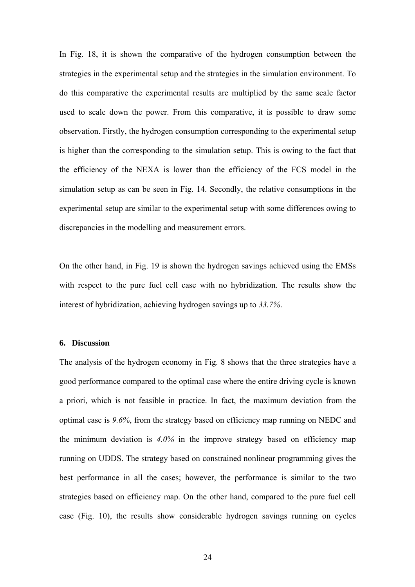In Fig. 18, it is shown the comparative of the hydrogen consumption between the strategies in the experimental setup and the strategies in the simulation environment. To do this comparative the experimental results are multiplied by the same scale factor used to scale down the power. From this comparative, it is possible to draw some observation. Firstly, the hydrogen consumption corresponding to the experimental setup is higher than the corresponding to the simulation setup. This is owing to the fact that the efficiency of the NEXA is lower than the efficiency of the FCS model in the simulation setup as can be seen in Fig. 14. Secondly, the relative consumptions in the experimental setup are similar to the experimental setup with some differences owing to discrepancies in the modelling and measurement errors.

On the other hand, in Fig. 19 is shown the hydrogen savings achieved using the EMSs with respect to the pure fuel cell case with no hybridization. The results show the interest of hybridization, achieving hydrogen savings up to *33.7%*.

#### **6. Discussion**

The analysis of the hydrogen economy in Fig. 8 shows that the three strategies have a good performance compared to the optimal case where the entire driving cycle is known a priori, which is not feasible in practice. In fact, the maximum deviation from the optimal case is *9.6%*, from the strategy based on efficiency map running on NEDC and the minimum deviation is *4.0%* in the improve strategy based on efficiency map running on UDDS. The strategy based on constrained nonlinear programming gives the best performance in all the cases; however, the performance is similar to the two strategies based on efficiency map. On the other hand, compared to the pure fuel cell case (Fig. 10), the results show considerable hydrogen savings running on cycles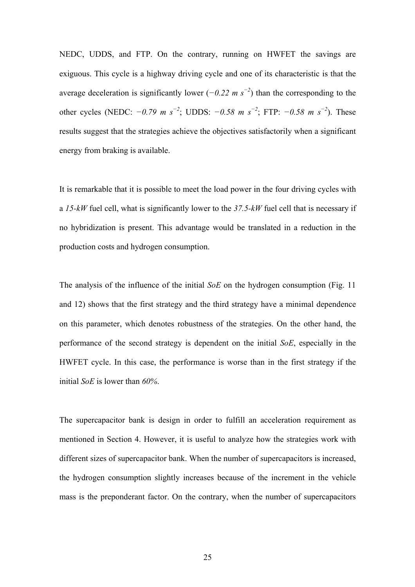NEDC, UDDS, and FTP. On the contrary, running on HWFET the savings are exiguous. This cycle is a highway driving cycle and one of its characteristic is that the average deceleration is significantly lower (*−0.22 m s<sup>−</sup><sup>2</sup>* ) than the corresponding to the other cycles (NEDC: *−0.79 m s<sup>−</sup><sup>2</sup>* ; UDDS: *−0.58 m s<sup>−</sup><sup>2</sup>* ; FTP: *−0.58 m s<sup>−</sup><sup>2</sup>* ). These results suggest that the strategies achieve the objectives satisfactorily when a significant energy from braking is available.

It is remarkable that it is possible to meet the load power in the four driving cycles with a *15-kW* fuel cell, what is significantly lower to the *37.5-kW* fuel cell that is necessary if no hybridization is present. This advantage would be translated in a reduction in the production costs and hydrogen consumption.

The analysis of the influence of the initial *SoE* on the hydrogen consumption (Fig. 11 and 12) shows that the first strategy and the third strategy have a minimal dependence on this parameter, which denotes robustness of the strategies. On the other hand, the performance of the second strategy is dependent on the initial *SoE*, especially in the HWFET cycle. In this case, the performance is worse than in the first strategy if the initial *SoE* is lower than *60%*.

The supercapacitor bank is design in order to fulfill an acceleration requirement as mentioned in Section 4. However, it is useful to analyze how the strategies work with different sizes of supercapacitor bank. When the number of supercapacitors is increased, the hydrogen consumption slightly increases because of the increment in the vehicle mass is the preponderant factor. On the contrary, when the number of supercapacitors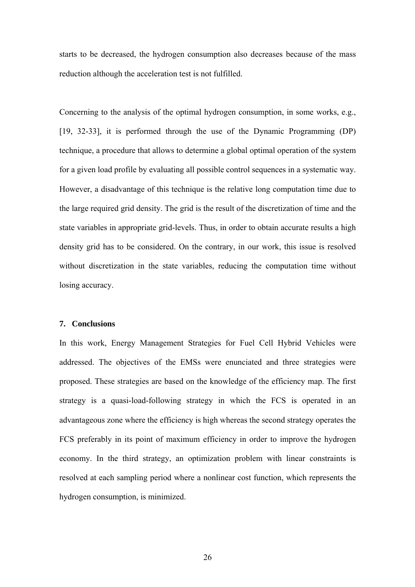starts to be decreased, the hydrogen consumption also decreases because of the mass reduction although the acceleration test is not fulfilled.

Concerning to the analysis of the optimal hydrogen consumption, in some works, e.g., [19, 32-33], it is performed through the use of the Dynamic Programming (DP) technique, a procedure that allows to determine a global optimal operation of the system for a given load profile by evaluating all possible control sequences in a systematic way. However, a disadvantage of this technique is the relative long computation time due to the large required grid density. The grid is the result of the discretization of time and the state variables in appropriate grid-levels. Thus, in order to obtain accurate results a high density grid has to be considered. On the contrary, in our work, this issue is resolved without discretization in the state variables, reducing the computation time without losing accuracy.

#### **7. Conclusions**

In this work, Energy Management Strategies for Fuel Cell Hybrid Vehicles were addressed. The objectives of the EMSs were enunciated and three strategies were proposed. These strategies are based on the knowledge of the efficiency map. The first strategy is a quasi-load-following strategy in which the FCS is operated in an advantageous zone where the efficiency is high whereas the second strategy operates the FCS preferably in its point of maximum efficiency in order to improve the hydrogen economy. In the third strategy, an optimization problem with linear constraints is resolved at each sampling period where a nonlinear cost function, which represents the hydrogen consumption, is minimized.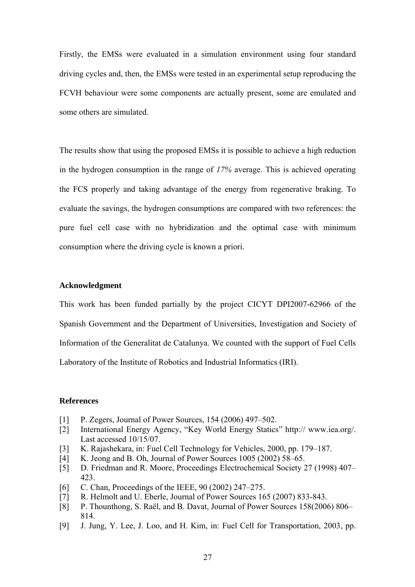Firstly, the EMSs were evaluated in a simulation environment using four standard driving cycles and, then, the EMSs were tested in an experimental setup reproducing the FCVH behaviour were some components are actually present, some are emulated and some others are simulated.

The results show that using the proposed EMSs it is possible to achieve a high reduction in the hydrogen consumption in the range of *17%* average. This is achieved operating the FCS properly and taking advantage of the energy from regenerative braking. To evaluate the savings, the hydrogen consumptions are compared with two references: the pure fuel cell case with no hybridization and the optimal case with minimum consumption where the driving cycle is known a priori.

# **Acknowledgment**

This work has been funded partially by the project CICYT DPI2007-62966 of the Spanish Government and the Department of Universities, Investigation and Society of Information of the Generalitat de Catalunya. We counted with the support of Fuel Cells Laboratory of the Institute of Robotics and Industrial Informatics (IRI).

### **References**

- [1] P. Zegers, Journal of Power Sources, 154 (2006) 497–502.
- [2] International Energy Agency, "Key World Energy Statics" http:// www.iea.org/. Last accessed 10/15/07.
- [3] K. Rajashekara, in: Fuel Cell Technology for Vehicles, 2000, pp. 179–187.
- [4] K. Jeong and B. Oh, Journal of Power Sources 1005 (2002) 58–65.
- [5] D. Friedman and R. Moore, Proceedings Electrochemical Society 27 (1998) 407– 423.
- [6] C. Chan, Proceedings of the IEEE, 90 (2002) 247–275.
- [7] R. Helmolt and U. Eberle, Journal of Power Sources 165 (2007) 833-843.
- [8] P. Thounthong, S. Raël, and B. Davat, Journal of Power Sources 158(2006) 806– 814.
- [9] J. Jung, Y. Lee, J. Loo, and H. Kim, in: Fuel Cell for Transportation, 2003, pp.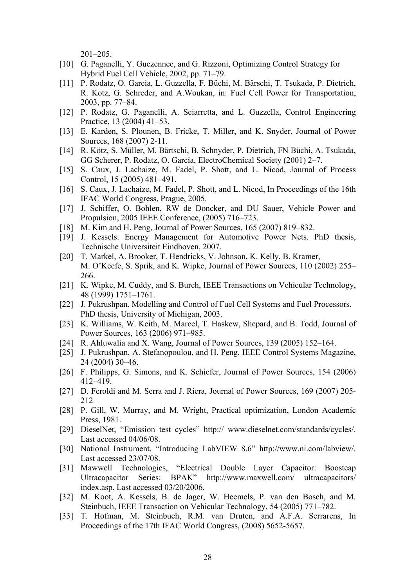201–205.

- [10] G. Paganelli, Y. Guezennec, and G. Rizzoni, Optimizing Control Strategy for Hybrid Fuel Cell Vehicle, 2002, pp. 71–79.
- [11] P. Rodatz, O. Garcia, L. Guzzella, F. Büchi, M. Bärschi, T. Tsukada, P. Dietrich, R. Kotz, G. Schreder, and A.Woukan, in: Fuel Cell Power for Transportation, 2003, pp. 77–84.
- [12] P. Rodatz, G. Paganelli, A. Sciarretta, and L. Guzzella, Control Engineering Practice, 13 (2004) 41–53.
- [13] E. Karden, S. Plounen, B. Fricke, T. Miller, and K. Snyder, Journal of Power Sources, 168 (2007) 2-11.
- [14] R. Kötz, S. Müller, M. Bärtschi, B. Schnyder, P. Dietrich, FN Büchi, A. Tsukada, GG Scherer, P. Rodatz, O. Garcia, ElectroChemical Society (2001) 2–7.
- [15] S. Caux, J. Lachaize, M. Fadel, P. Shott, and L. Nicod, Journal of Process Control, 15 (2005) 481–491.
- [16] S. Caux, J. Lachaize, M. Fadel, P. Shott, and L. Nicod, In Proceedings of the 16th IFAC World Congress, Prague, 2005.
- [17] J. Schiffer, O. Bohlen, RW de Doncker, and DU Sauer, Vehicle Power and Propulsion, 2005 IEEE Conference, (2005) 716–723.
- [18] M. Kim and H. Peng, Journal of Power Sources, 165 (2007) 819–832.
- [19] J. Kessels. Energy Management for Automotive Power Nets. PhD thesis, Technische Universiteit Eindhoven, 2007.
- [20] T. Markel, A. Brooker, T. Hendricks, V. Johnson, K. Kelly, B. Kramer, M. O'Keefe, S. Sprik, and K. Wipke, Journal of Power Sources, 110 (2002) 255– 266.
- [21] K. Wipke, M. Cuddy, and S. Burch, IEEE Transactions on Vehicular Technology, 48 (1999) 1751–1761.
- [22] J. Pukrushpan. Modelling and Control of Fuel Cell Systems and Fuel Processors. PhD thesis, University of Michigan, 2003.
- [23] K. Williams, W. Keith, M. Marcel, T. Haskew, Shepard, and B. Todd, Journal of Power Sources, 163 (2006) 971–985.
- [24] R. Ahluwalia and X. Wang, Journal of Power Sources, 139 (2005) 152–164.
- [25] J. Pukrushpan, A. Stefanopoulou, and H. Peng, IEEE Control Systems Magazine, 24 (2004) 30–46.
- [26] F. Philipps, G. Simons, and K. Schiefer, Journal of Power Sources, 154 (2006) 412–419.
- [27] D. Feroldi and M. Serra and J. Riera, Journal of Power Sources, 169 (2007) 205-212
- [28] P. Gill, W. Murray, and M. Wright, Practical optimization, London Academic Press, 1981.
- [29] DieselNet, "Emission test cycles" http:// www.dieselnet.com/standards/cycles/. Last accessed 04/06/08.
- [30] National Instrument. "Introducing LabVIEW 8.6" http://www.ni.com/labview/. Last accessed 23/07/08.
- [31] Mawwell Technologies, "Electrical Double Layer Capacitor: Boostcap Ultracapacitor Series: BPAK" http://www.maxwell.com/ ultracapacitors/ index.asp. Last accessed 03/20/2006.
- [32] M. Koot, A. Kessels, B. de Jager, W. Heemels, P. van den Bosch, and M. Steinbuch, IEEE Transaction on Vehicular Technology, 54 (2005) 771–782.
- [33] T. Hofman, M. Steinbuch, R.M. van Druten, and A.F.A. Serrarens, In Proceedings of the 17th IFAC World Congress, (2008) 5652-5657.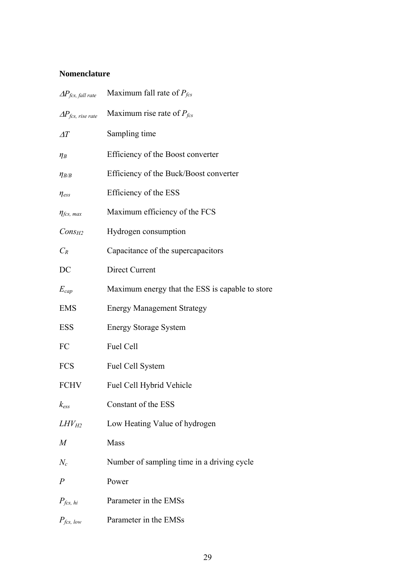# **Nomenclature**

| $\Delta P_{fcs, fall\ rate}$ | Maximum fall rate of $P_{fcs}$                  |
|------------------------------|-------------------------------------------------|
| $\Delta P_{fcs, rise\ rate}$ | Maximum rise rate of $P_{fcs}$                  |
| $\varDelta T$                | Sampling time                                   |
| $\eta_B$                     | Efficiency of the Boost converter               |
| $\eta_{B/B}$                 | Efficiency of the Buck/Boost converter          |
| $\eta_{ess}$                 | Efficiency of the ESS                           |
| $\eta_{fcs, max}$            | Maximum efficiency of the FCS                   |
| $Cons_{H2}$                  | Hydrogen consumption                            |
| $C_R$                        | Capacitance of the supercapacitors              |
| DC                           | <b>Direct Current</b>                           |
| $E_{cap}$                    | Maximum energy that the ESS is capable to store |
| <b>EMS</b>                   | <b>Energy Management Strategy</b>               |
| <b>ESS</b>                   | <b>Energy Storage System</b>                    |
| FC                           | Fuel Cell                                       |
| <b>FCS</b>                   | Fuel Cell System                                |
| <b>FCHV</b>                  | Fuel Cell Hybrid Vehicle                        |
| $k_{ess}$                    | Constant of the ESS                             |
| $LHV_{H2}$                   | Low Heating Value of hydrogen                   |
| $\boldsymbol{M}$             | Mass                                            |
| $N_c$                        | Number of sampling time in a driving cycle      |
| $\overline{P}$               | Power                                           |
| $P_{fcs, hi}$                | Parameter in the EMSs                           |
| $P_{fcs, low}$               | Parameter in the EMSs                           |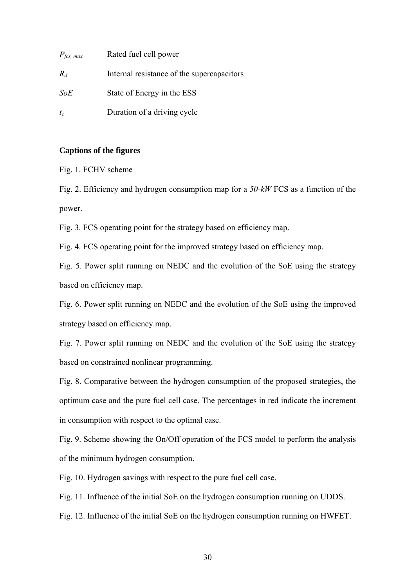| $P_{\text{fcs, max}}$ | Rated fuel cell power                      |
|-----------------------|--------------------------------------------|
| $R_d$                 | Internal resistance of the supercapacitors |
| SoE                   | State of Energy in the ESS                 |
| $t_c$                 | Duration of a driving cycle                |

### **Captions of the figures**

Fig. 1. FCHV scheme

Fig. 2. Efficiency and hydrogen consumption map for a *50-kW* FCS as a function of the power.

Fig. 3. FCS operating point for the strategy based on efficiency map.

Fig. 4. FCS operating point for the improved strategy based on efficiency map.

Fig. 5. Power split running on NEDC and the evolution of the SoE using the strategy based on efficiency map.

Fig. 6. Power split running on NEDC and the evolution of the SoE using the improved strategy based on efficiency map.

Fig. 7. Power split running on NEDC and the evolution of the SoE using the strategy based on constrained nonlinear programming.

Fig. 8. Comparative between the hydrogen consumption of the proposed strategies, the optimum case and the pure fuel cell case. The percentages in red indicate the increment in consumption with respect to the optimal case.

Fig. 9. Scheme showing the On/Off operation of the FCS model to perform the analysis of the minimum hydrogen consumption.

Fig. 10. Hydrogen savings with respect to the pure fuel cell case.

Fig. 11. Influence of the initial SoE on the hydrogen consumption running on UDDS.

Fig. 12. Influence of the initial SoE on the hydrogen consumption running on HWFET.